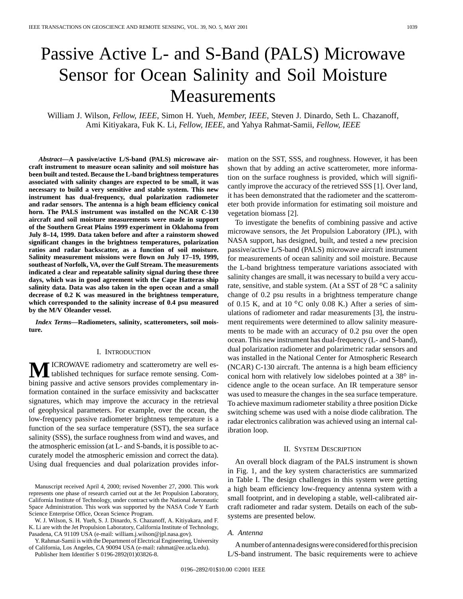# Passive Active L- and S-Band (PALS) Microwave Sensor for Ocean Salinity and Soil Moisture **Measurements**

William J. Wilson*, Fellow, IEEE*, Simon H. Yueh*, Member, IEEE*, Steven J. Dinardo, Seth L. Chazanoff, Ami Kitiyakara, Fuk K. Li*, Fellow, IEEE*, and Yahya Rahmat-Samii*, Fellow, IEEE*

*Abstract—***A passive/active L/S-band (PALS) microwave aircraft instrument to measure ocean salinity and soil moisture has been built and tested. Because the L-band brightness temperatures associated with salinity changes are expected to be small, it was necessary to build a very sensitive and stable system. This new instrument has dual-frequency, dual polarization radiometer and radar sensors. The antenna is a high beam efficiency conical horn. The PALS instrument was installed on the NCAR C-130 aircraft and soil moisture measurements were made in support of the Southern Great Plains 1999 experiment in Oklahoma from July 8–14, 1999. Data taken before and after a rainstorm showed significant changes in the brightness temperatures, polarization ratios and radar backscatter, as a function of soil moisture. Salinity measurement missions were flown on July 17–19, 1999, southeast of Norfolk, VA, over the Gulf Stream. The measurements indicated a clear and repeatable salinity signal during these three days, which was in good agreement with the Cape Hatteras ship salinity data. Data was also taken in the open ocean and a small decrease of 0.2 K was measured in the brightness temperature, which corresponded to the salinity increase of 0.4 psu measured by the M/V Oleander vessel.**

*Index Terms—***Radiometers, salinity, scatterometers, soil moisture.**

## I. INTRODUCTION

**M**ICROWAVE radiometry and scatterometry are well es-<br>tablished techniques for surface remote sensing. Combining passive and active sensors provides complementary information contained in the surface emissivity and backscatter signatures, which may improve the accuracy in the retrieval of geophysical parameters. For example, over the ocean, the low-frequency passive radiometer brightness temperature is a function of the sea surface temperature (SST), the sea surface salinity (SSS), the surface roughness from wind and waves, and the atmospheric emission (at L- and S-bands, it is possible to accurately model the atmospheric emission and correct the data). Using dual frequencies and dual polarization provides infor-

W. J. Wilson, S. H. Yueh, S. J. Dinardo, S. Chazanoff, A. Kitiyakara, and F. K. Li are with the Jet Propulsion Laboratory, California Institute of Technology, Pasadena, CA 91109 USA (e-mail: william.j.wilson@jpl.nasa.gov).

Y. Rahmat-Samii is with the Department of Electrical Engineering, University of California, Los Angeles, CA 90094 USA (e-mail: rahmat@ee.ucla.edu).

Publisher Item Identifier S 0196-2892(01)03826-8.

mation on the SST, SSS, and roughness. However, it has been shown that by adding an active scatterometer, more information on the surface roughness is provided, which will significantly improve the accuracy of the retrieved SSS [1]. Over land, it has been demonstrated that the radiometer and the scatterometer both provide information for estimating soil moisture and vegetation biomass [2].

To investigate the benefits of combining passive and active microwave sensors, the Jet Propulsion Laboratory (JPL), with NASA support, has designed, built, and tested a new precision passive/active L/S-band (PALS) microwave aircraft instrument for measurements of ocean salinity and soil moisture. Because the L-band brightness temperature variations associated with salinity changes are small, it was necessary to build a very accurate, sensitive, and stable system. (At a SST of  $28\text{ °C}$  a salinity change of 0.2 psu results in a brightness temperature change of 0.15 K, and at 10  $^{\circ}$ C only 0.08 K.) After a series of simulations of radiometer and radar measurements [3], the instrument requirements were determined to allow salinity measurements to be made with an accuracy of 0.2 psu over the open ocean. This new instrument has dual-frequency (L- and S-band), dual polarization radiometer and polarimetric radar sensors and was installed in the National Center for Atmospheric Research (NCAR) C-130 aircraft. The antenna is a high beam efficiency conical horn with relatively low sidelobes pointed at a  $38^\circ$  incidence angle to the ocean surface. An IR temperature sensor was used to measure the changes in the sea surface temperature. To achieve maximum radiometer stability a three position Dicke switching scheme was used with a noise diode calibration. The radar electronics calibration was achieved using an internal calibration loop.

## II. SYSTEM DESCRIPTION

An overall block diagram of the PALS instrument is shown in Fig. 1, and the key system characteristics are summarized in Table I. The design challenges in this system were getting a high beam efficiency low-frequency antenna system with a small footprint, and in developing a stable, well-calibrated aircraft radiometer and radar system. Details on each of the subsystems are presented below.

## *A. Antenna*

A number of antenna designs were considered for this precision L/S-band instrument. The basic requirements were to achieve

Manuscript received April 4, 2000; revised November 27, 2000. This work represents one phase of research carried out at the Jet Propulsion Laboratory, California Institute of Technology, under contract with the National Aeronautic Space Administration. This work was supported by the NASA Code Y Earth Science Enterprise Office, Ocean Science Program.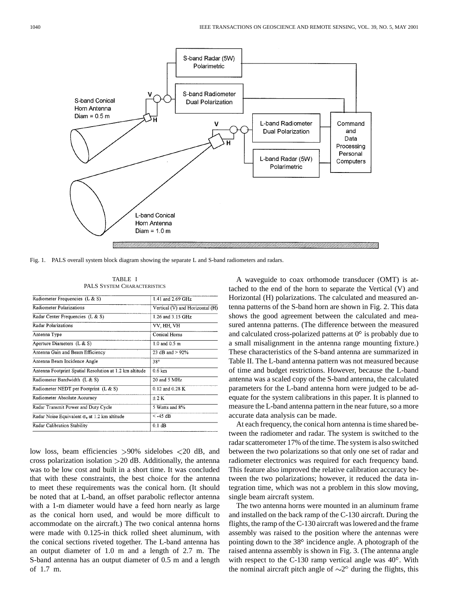

Fig. 1. PALS overall system block diagram showing the separate L and S-band radiometers and radars.

| Radiometer Frequencies (L & S)                          | 1.41 and 2.69 GHz               |  |
|---------------------------------------------------------|---------------------------------|--|
| Radiometer Polarizations                                | Vertical (V) and Horizontal (H) |  |
| Radar Center Frequencies (L & S)                        | 1.26 and 3.15 GHz               |  |
| Radar Polarizations                                     | VV, HH, VH                      |  |
| Antenna Type                                            | Conical Horns                   |  |
| Aperture Diameters $(L & S)$                            | $1.0$ and $0.5$ m               |  |
| Antenna Gain and Beam Efficiency                        | 23 dB and $> 92\%$              |  |
| Antenna Beam Incidence Angle                            | 38°                             |  |
| Antenna Footprint Spatial Resolution at 1.2 km altitude | 0.6 km                          |  |
| Radiometer Bandwidth (L & S)                            | 20 and 5 MHz                    |  |
| Radiometer NEDT per Footprint (L & S)                   | 0.12 and 0.28 K                 |  |
| Radiometer Absolute Accuracy                            | $\pm 2K$                        |  |
| Radar Transmit Power and Duty Cycle                     | 5 Watts and 8%                  |  |
| Radar Noise Equivalent $\sigma_0$ at 1.2 km altitude    | $<$ -45 dB                      |  |
| Radar Calibration Stability                             | $0.1$ dB                        |  |

TABLE I PALS SYSTEM CHARACTERISTICS

low loss, beam efficiencies >90% sidelobes <20 dB, and cross polarization isolation  $>20$  dB. Additionally, the antenna was to be low cost and built in a short time. It was concluded that with these constraints, the best choice for the antenna to meet these requirements was the conical horn. (It should be noted that at L-band, an offset parabolic reflector antenna with a 1-m diameter would have a feed horn nearly as large as the conical horn used, and would be more difficult to accommodate on the aircraft.) The two conical antenna horns were made with 0.125-in thick rolled sheet aluminum, with the conical sections riveted together. The L-band antenna has an output diameter of 1.0 m and a length of 2.7 m. The S-band antenna has an output diameter of 0.5 m and a length of 1.7 m.

A waveguide to coax orthomode transducer (OMT) is attached to the end of the horn to separate the Vertical (V) and Horizontal (H) polarizations. The calculated and measured antenna patterns of the S-band horn are shown in Fig. 2. This data shows the good agreement between the calculated and measured antenna patterns. (The difference between the measured and calculated cross-polarized patterns at  $0^\circ$  is probably due to a small misalignment in the antenna range mounting fixture.) These characteristics of the S-band antenna are summarized in Table II. The L-band antenna pattern was not measured because of time and budget restrictions. However, because the L-band antenna was a scaled copy of the S-band antenna, the calculated parameters for the L-band antenna horn were judged to be adequate for the system calibrations in this paper. It is planned to measure the L-band antenna pattern in the near future, so a more accurate data analysis can be made.

At each frequency, the conical horn antenna is time shared between the radiometer and radar. The system is switched to the radar scatterometer 17% of the time. The system is also switched between the two polarizations so that only one set of radar and radiometer electronics was required for each frequency band. This feature also improved the relative calibration accuracy between the two polarizations; however, it reduced the data integration time, which was not a problem in this slow moving, single beam aircraft system.

The two antenna horns were mounted in an aluminum frame and installed on the back ramp of the C-130 aircraft. During the flights, the ramp of the C-130 aircraft was lowered and the frame assembly was raised to the position where the antennas were pointing down to the 38° incidence angle. A photograph of the raised antenna assembly is shown in Fig. 3. (The antenna angle with respect to the C-130 ramp vertical angle was  $40^{\circ}$ . With the nominal aircraft pitch angle of  $\sim$ 2 $\degree$  during the flights, this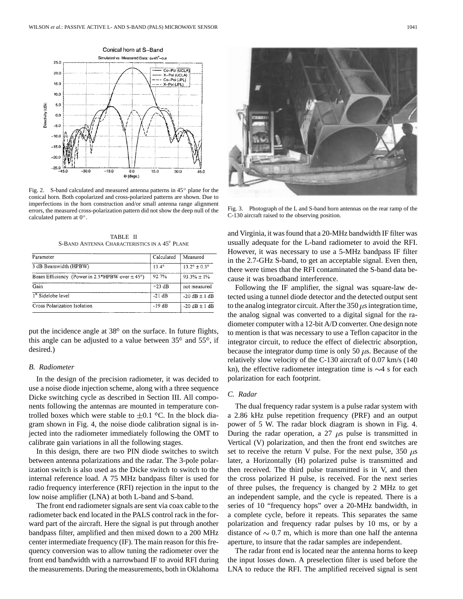

Fig. 2. S-band calculated and measured antenna patterns in  $45^{\circ}$  plane for the conical horn. Both copolarized and cross-polarized patterns are shown. Due to imperfections in the horn construction and/or small antenna range alignment errors, the measured cross-polarization pattern did not show the deep null of the calculated pattern at  $0^\circ$ .

TABLE II S-BAND ANTENNA CHARACTERISTICS IN A 45° PLANE

| Parameter                                          | Calculated     | Measured              |
|----------------------------------------------------|----------------|-----------------------|
| 3 dB Beamwidth (HPBW)                              | $13.4^{\circ}$ | $13.2^{\circ}$ + 0.3° |
| Beam Efficiency (Power in 2.5*HPBW over $\pm$ 45°) | 92.7%          | $93.3% + 1%$          |
| Gain                                               | $+23$ dB       | not measured          |
| 1 <sup>st</sup> Sidelobe level                     | $-21 dB$       | $-20$ dB + 1 dB       |
| Cross Polarization Isolation                       | $-19dB$        | $-20$ dB $\pm$ 1 dB   |

put the incidence angle at  $38^\circ$  on the surface. In future flights, this angle can be adjusted to a value between  $35^{\circ}$  and  $55^{\circ}$ , if desired.)

## *B. Radiometer*

In the design of the precision radiometer, it was decided to use a noise diode injection scheme, along with a three sequence Dicke switching cycle as described in Section III. All components following the antennas are mounted in temperature controlled boxes which were stable to  $\pm 0.1$  °C. In the block diagram shown in Fig. 4, the noise diode calibration signal is injected into the radiometer immediately following the OMT to calibrate gain variations in all the following stages.

In this design, there are two PIN diode switches to switch between antenna polarizations and the radar. The 3-pole polarization switch is also used as the Dicke switch to switch to the internal reference load. A 75 MHz bandpass filter is used for radio frequency interference (RFI) rejection in the input to the low noise amplifier (LNA) at both L-band and S-band.

The front end radiometer signals are sent via coax cable to the radiometer back end located in the PALS control rack in the forward part of the aircraft. Here the signal is put through another bandpass filter, amplified and then mixed down to a 200 MHz center intermediate frequency (IF). The main reason for this frequency conversion was to allow tuning the radiometer over the front end bandwidth with a narrowband IF to avoid RFI during the measurements. During the measurements, both in Oklahoma



Fig. 3. Photograph of the L and S-band horn antennas on the rear ramp of the C-130 aircraft raised to the observing position.

and Virginia, it was found that a 20-MHz bandwidth IF filter was usually adequate for the L-band radiometer to avoid the RFI. However, it was necessary to use a 5-MHz bandpass IF filter in the 2.7-GHz S-band, to get an acceptable signal. Even then, there were times that the RFI contaminated the S-band data because it was broadband interference.

Following the IF amplifier, the signal was square-law detected using a tunnel diode detector and the detected output sent to the analog integrator circuit. After the 350  $\mu$ s integration time, the analog signal was converted to a digital signal for the radiometer computer with a 12-bit A/D converter. One design note to mention is that was necessary to use a Teflon capacitor in the integrator circuit, to reduce the effect of dielectric absorption, because the integrator dump time is only 50  $\mu$ s. Because of the relatively slow velocity of the C-130 aircraft of 0.07 km/s (140 kn), the effective radiometer integration time is  $\sim$ 4 s for each polarization for each footprint.

# *C. Radar*

The dual frequency radar system is a pulse radar system with a 2.86 kHz pulse repetition frequency (PRF) and an output power of 5 W. The radar block diagram is shown in Fig. 4. During the radar operation, a  $27 \mu s$  pulse is transmitted in Vertical (V) polarization, and then the front end switches are set to receive the return V pulse. For the next pulse, 350  $\mu$ s later, a Horizontally (H) polarized pulse is transmitted and then received. The third pulse transmitted is in V, and then the cross polarized H pulse, is received. For the next series of three pulses, the frequency is changed by 2 MHz to get an independent sample, and the cycle is repeated. There is a series of 10 "frequency hops" over a 20-MHz bandwidth, in a complete cycle, before it repeats. This separates the same polarization and frequency radar pulses by 10 ms, or by a distance of  $\sim 0.7$  m, which is more than one half the antenna aperture, to insure that the radar samples are independent.

The radar front end is located near the antenna horns to keep the input losses down. A preselection filter is used before the LNA to reduce the RFI. The amplified received signal is sent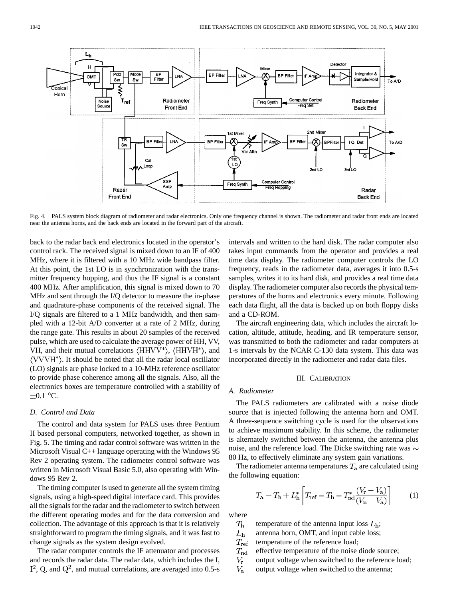

Fig. 4. PALS system block diagram of radiometer and radar electronics. Only one frequency channel is shown. The radiometer and radar front ends are located near the antenna horns, and the back ends are located in the forward part of the aircraft.

back to the radar back end electronics located in the operator's control rack. The received signal is mixed down to an IF of 400 MHz, where it is filtered with a 10 MHz wide bandpass filter. At this point, the 1st LO is in synchronization with the transmitter frequency hopping, and thus the IF signal is a constant 400 MHz. After amplification, this signal is mixed down to 70 MHz and sent through the I/Q detector to measure the in-phase and quadrature-phase components of the received signal. The I/Q signals are filtered to a 1 MHz bandwidth, and then sampled with a 12-bit A/D converter at a rate of 2 MHz, during the range gate. This results in about 20 samples of the received pulse, which are used to calculate the average power of HH, VV, VH, and their mutual correlations  $\langle HHVV^* \rangle$ ,  $\langle HHVH^* \rangle$ , and . It should be noted that all the radar local oscillator (LO) signals are phase locked to a 10-MHz reference oscillator to provide phase coherence among all the signals. Also, all the electronics boxes are temperature controlled with a stability of  $\pm 0.1$  °C.

# *D. Control and Data*

The control and data system for PALS uses three Pentium II based personal computers, networked together, as shown in Fig. 5. The timing and radar control software was written in the Microsoft Visual C++ language operating with the Windows 95 Rev 2 operating system. The radiometer control software was written in Microsoft Visual Basic 5.0, also operating with Windows 95 Rev 2.

The timing computer is used to generate all the system timing signals, using a high-speed digital interface card. This provides all the signals for the radar and the radiometer to switch between the different operating modes and for the data conversion and collection. The advantage of this approach is that it is relatively straightforward to program the timing signals, and it was fast to change signals as the system design evolved.

The radar computer controls the IF attenuator and processes and records the radar data. The radar data, which includes the I,  $I^2$ , Q, and  $Q^2$ , and mutual correlations, are averaged into 0.5-s intervals and written to the hard disk. The radar computer also takes input commands from the operator and provides a real time data display. The radiometer computer controls the LO frequency, reads in the radiometer data, averages it into 0.5-s samples, writes it to its hard disk, and provides a real time data display. The radiometer computer also records the physical temperatures of the horns and electronics every minute. Following each data flight, all the data is backed up on both floppy disks and a CD-ROM.

The aircraft engineering data, which includes the aircraft location, altitude, attitude, heading, and IR temperature sensor, was transmitted to both the radiometer and radar computers at 1-s intervals by the NCAR C-130 data system. This data was incorporated directly in the radiometer and radar data files.

## III. CALIBRATION

# *A. Radiometer*

The PALS radiometers are calibrated with a noise diode source that is injected following the antenna horn and OMT. A three-sequence switching cycle is used for the observations to achieve maximum stability. In this scheme, the radiometer is alternately switched between the antenna, the antenna plus noise, and the reference load. The Dicke switching rate was  $\sim$ 80 Hz, to effectively eliminate any system gain variations.

The radiometer antenna temperatures  $T_a$  are calculated using the following equation:

$$
T_{\rm a} = T_{\rm h} + L_{\rm h}^* \left[ T_{\rm ref} - T_{\rm h} - T_{\rm nd}^* \frac{(V_{\rm r} - V_{\rm a})}{(V_{\rm n} - V_{\rm a})} \right] \tag{1}
$$

where

- $T_{\rm h}$ temperature of the antenna input loss  $L<sub>h</sub>$ ;
- $L_{\rm h}$ antenna horn, OMT, and input cable loss;
- $T_{\rm ref}$ temperature of the reference load;
- $T_{\rm nd}$ effective temperature of the noise diode source;
- $V_{\rm r}$ output voltage when switched to the reference load;
- $V_{\rm a}$ output voltage when switched to the antenna;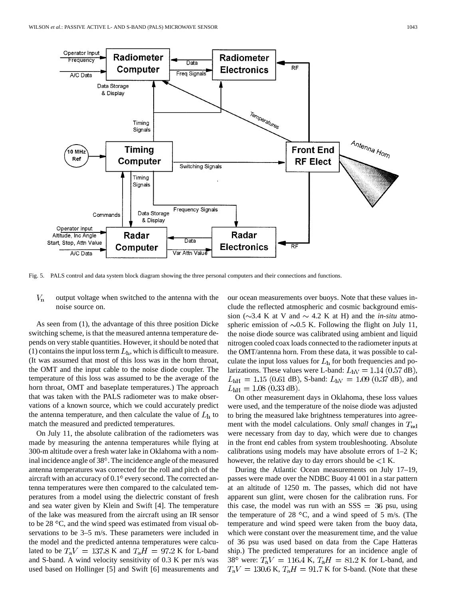

Fig. 5. PALS control and data system block diagram showing the three personal computers and their connections and functions.

#### $V_{\bf n}$ output voltage when switched to the antenna with the noise source on.

As seen from (1), the advantage of this three position Dicke switching scheme, is that the measured antenna temperature depends on very stable quantities. However, it should be noted that (1) contains the input loss term  $L<sub>h</sub>$ , which is difficult to measure. (It was assumed that most of this loss was in the horn throat, the OMT and the input cable to the noise diode coupler. The temperature of this loss was assumed to be the average of the horn throat, OMT and baseplate temperatures.) The approach that was taken with the PALS radiometer was to make observations of a known source, which we could accurately predict the antenna temperature, and then calculate the value of  $L<sub>h</sub>$  to match the measured and predicted temperatures.

On July 11, the absolute calibration of the radiometers was made by measuring the antenna temperatures while flying at 300-m altitude over a fresh water lake in Oklahoma with a nominal incidence angle of 38°. The incidence angle of the measured antenna temperatures was corrected for the roll and pitch of the aircraft with an accuracy of  $0.1^\circ$  every second. The corrected antenna temperatures were then compared to the calculated temperatures from a model using the dielectric constant of fresh and sea water given by Klein and Swift [4]. The temperature of the lake was measured from the aircraft using an IR sensor to be  $28\text{ °C}$ , and the wind speed was estimated from visual observations to be 3–5 m/s. These parameters were included in the model and the predicted antenna temperatures were calculated to be  $T_aV = 137.8$  K and  $T_aH = 97.2$  K for L-band and S-band. A wind velocity sensitivity of 0.3 K per m/s was used based on Hollinger [5] and Swift [6] measurements and our ocean measurements over buoys. Note that these values include the reflected atmospheric and cosmic background emission ( $\sim$ 3.4 K at V and  $\sim$  4.2 K at H) and the *in-situ* atmospheric emission of  $\sim 0.5$  K. Following the flight on July 11, the noise diode source was calibrated using ambient and liquid nitrogen cooled coax loads connected to the radiometer inputs at the OMT/antenna horn. From these data, it was possible to calculate the input loss values for  $L<sub>h</sub>$  for both frequencies and polarizations. These values were L-band:  $L_{\text{hV}} = 1.14 (0.57 \text{ dB})$ ,  $L_{\text{hH}} = 1.15$  (0.61 dB), S-band:  $L_{\text{hV}} = 1.09$  (0.37 dB), and  $L_{\text{hH}} = 1.08$  (0.33 dB).

On other measurement days in Oklahoma, these loss values were used, and the temperature of the noise diode was adjusted to bring the measured lake brightness temperatures into agreement with the model calculations. Only *small* changes in  $T_{\text{nd}}$ were necessary from day to day, which were due to changes in the front end cables from system troubleshooting. Absolute calibrations using models may have absolute errors of  $1-2$  K; however, the relative day to day errors should be  $\lt 1$  K.

During the Atlantic Ocean measurements on July 17–19, passes were made over the NDBC Buoy 41 001 in a star pattern at an altitude of 1250 m. The passes, which did not have apparent sun glint, were chosen for the calibration runs. For this case, the model was run with an  $SSS = 36$  psu, using the temperature of 28  $^{\circ}$ C, and a wind speed of 5 m/s. (The temperature and wind speed were taken from the buoy data, which were constant over the measurement time, and the value of 36 psu was used based on data from the Cape Hatteras ship.) The predicted temperatures for an incidence angle of 38° were:  $T_aV = 116.4$  K,  $T_aH = 81.2$  K for L-band, and  $T_aV = 130.6$  K,  $T_aH = 91.7$  K for S-band. (Note that these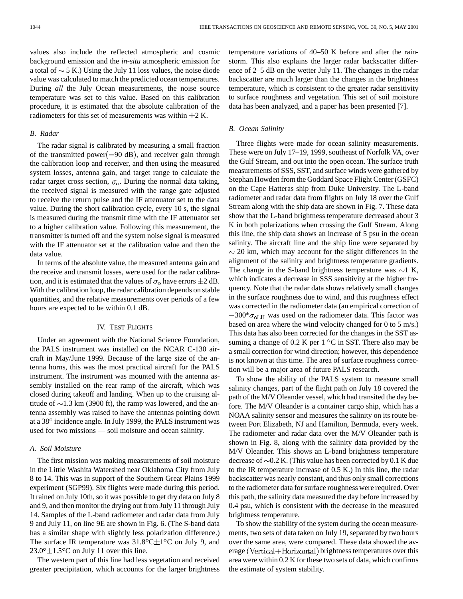values also include the reflected atmospheric and cosmic background emission and the *in-situ* atmospheric emission for a total of  $\sim$  5 K.) Using the July 11 loss values, the noise diode value was calculated to match the predicted ocean temperatures. During *all* the July Ocean measurements, the noise source temperature was set to this value. Based on this calibration procedure, it is estimated that the absolute calibration of the radiometers for this set of measurements was within  $\pm 2$  K.

# *B. Radar*

The radar signal is calibrated by measuring a small fraction of the transmitted power $(-90 \text{ dB})$ , and receiver gain through the calibration loop and receiver, and then using the measured system losses, antenna gain, and target range to calculate the radar target cross section,  $\sigma_{o}$ . During the normal data taking, the received signal is measured with the range gate adjusted to receive the return pulse and the IF attenuator set to the data value. During the short calibration cycle, every 10 s, the signal is measured during the transmit time with the IF attenuator set to a higher calibration value. Following this measurement, the transmitter is turned off and the system noise signal is measured with the IF attenuator set at the calibration value and then the data value.

In terms of the absolute value, the measured antenna gain and the receive and transmit losses, were used for the radar calibration, and it is estimated that the values of  $\sigma_0$  have errors  $\pm 2$  dB. With the calibration loop, the radar calibration depends on stable quantities, and the relative measurements over periods of a few hours are expected to be within 0.1 dB.

## IV. TEST FLIGHTS

Under an agreement with the National Science Foundation, the PALS instrument was installed on the NCAR C-130 aircraft in May/June 1999. Because of the large size of the antenna horns, this was the most practical aircraft for the PALS instrument. The instrument was mounted with the antenna assembly installed on the rear ramp of the aircraft, which was closed during takeoff and landing. When up to the cruising altitude of  $\sim$ 1.3 km (3900 ft), the ramp was lowered, and the antenna assembly was raised to have the antennas pointing down at a 38<sup>°</sup> incidence angle. In July 1999, the PALS instrument was used for two missions — soil moisture and ocean salinity.

## *A. Soil Moisture*

The first mission was making measurements of soil moisture in the Little Washita Watershed near Oklahoma City from July 8 to 14. This was in support of the Southern Great Plains 1999 experiment (SGP99). Six flights were made during this period. It rained on July 10th, so it was possible to get dry data on July 8 and 9, and then monitor the drying out from July 11 through July 14. Samples of the L-band radiometer and radar data from July 9 and July 11, on line 9E are shown in Fig. 6. (The S-band data has a similar shape with slightly less polarization difference.) The surface IR temperature was  $31.8^{\circ}$ C $\pm$ 1<sup>o</sup>C on July 9, and  $23.0^{\circ} \pm 1.5^{\circ}$ C on July 11 over this line.

The western part of this line had less vegetation and received greater precipitation, which accounts for the larger brightness temperature variations of 40–50 K before and after the rainstorm. This also explains the larger radar backscatter difference of 2–5 dB on the wetter July 11. The changes in the radar backscatter are much larger than the changes in the brightness temperature, which is consistent to the greater radar sensitivity to surface roughness and vegetation. This set of soil moisture data has been analyzed, and a paper has been presented [7].

# *B. Ocean Salinity*

Three flights were made for ocean salinity measurements. These were on July 17–19, 1999, southeast of Norfolk VA, over the Gulf Stream, and out into the open ocean. The surface truth measurements of SSS, SST, and surface winds were gathered by Stephan Howden from the Goddard Space Flight Center (GSFC) on the Cape Hatteras ship from Duke University. The L-band radiometer and radar data from flights on July 18 over the Gulf Stream along with the ship data are shown in Fig. 7. These data show that the L-band brightness temperature decreased about 3 K in both polarizations when crossing the Gulf Stream. Along this line, the ship data shows an increase of 5 psu in the ocean salinity. The aircraft line and the ship line were separated by  $\sim$  20 km, which may account for the slight differences in the alignment of the salinity and brightness temperature gradients. The change in the S-band brightness temperature was  $\sim$ 1 K, which indicates a decrease in SSS sensitivity at the higher frequency. Note that the radar data shows relatively small changes in the surface roughness due to wind, and this roughness effect was corrected in the radiometer data (an empirical correction of  $-300^* \sigma_{\text{oLH}}$  was used on the radiometer data. This factor was based on area where the wind velocity changed for 0 to 5 m/s.) This data has also been corrected for the changes in the SST assuming a change of  $0.2$  K per  $1^{\circ}$ C in SST. There also may be a small correction for wind direction; however, this dependence is not known at this time. The area of surface roughness correction will be a major area of future PALS research.

To show the ability of the PALS system to measure small salinity changes, part of the flight path on July 18 covered the path of the M/V Oleander vessel, which had transited the day before. The M/V Oleander is a container cargo ship, which has a NOAA salinity sensor and measures the salinity on its route between Port Elizabeth, NJ and Hamilton, Bermuda, every week. The radiometer and radar data over the M/V Oleander path is shown in Fig. 8, along with the salinity data provided by the M/V Oleander. This shows an L-band brightness temperature decrease of  $\sim 0.2$  K. (This value has been corrected by 0.1 K due to the IR temperature increase of 0.5 K.) In this line, the radar backscatter was nearly constant, and thus only small corrections to the radiometer data for surface roughness were required. Over this path, the salinity data measured the day before increased by 0.4 psu, which is consistent with the decrease in the measured brightness temperature.

To show the stability of the system during the ocean measurements, two sets of data taken on July 19, separated by two hours over the same area, were compared. These data showed the average (Vertical+Horizontal) brightness temperatures over this area were within 0.2 K for these two sets of data, which confirms the estimate of system stability.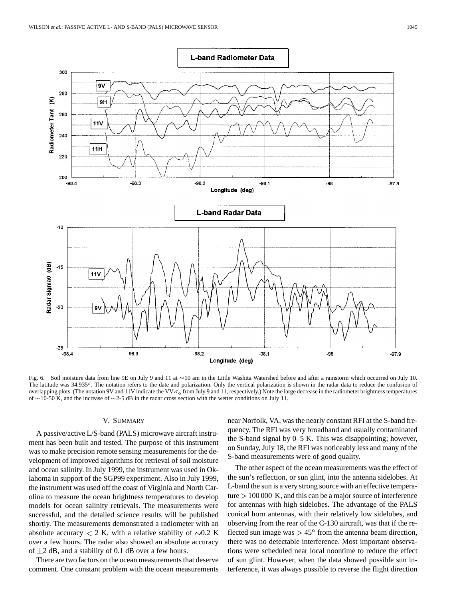

Fig. 6. Soil moisture data from line 9E on July 9 and 11 at  $\sim$  10 am in the Little Washita Watershed before and after a rainstorm which occurred on July 10. The latitude was 34.935°. The notation refers to the date and polarization. Only the vertical polarization is shown in the radar data to reduce the confusion of overlapping plots. (The notation 9V and 11V indicate the VV  $\sigma_{\rm o}$  from July 9 and 11, respectively.) Note the large decrease in the radiometer brightness temperatures of  $\sim$  10-50 K, and the increase of  $\sim$  2-5 dB in the radar cross section with the wetter conditions on July 11.

## V. SUMMARY

A passive/active L/S-band (PALS) microwave aircraft instrument has been built and tested. The purpose of this instrument was to make precision remote sensing measurements for the development of improved algorithms for retrieval of soil moisture and ocean salinity. In July 1999, the instrument was used in Oklahoma in support of the SGP99 experiment. Also in July 1999, the instrument was used off the coast of Virginia and North Carolina to measure the ocean brightness temperatures to develop models for ocean salinity retrievals. The measurements were successful, and the detailed science results will be published shortly. The measurements demonstrated a radiometer with an absolute accuracy  $< 2$  K, with a relative stability of  $\sim 0.2$  K over a few hours. The radar also showed an absolute accuracy of  $\pm 2$  dB, and a stability of 0.1 dB over a few hours.

There are two factors on the ocean measurements that deserve comment. One constant problem with the ocean measurements near Norfolk, VA, was the nearly constant RFI at the S-band frequency. The RFI was very broadband and usually contaminated the S-band signal by 0–5 K. This was disappointing; however, on Sunday, July 18, the RFI was noticeably less and many of the S-band measurements were of good quality.

The other aspect of the ocean measurements was the effect of the sun's reflection, or sun glint, into the antenna sidelobes. At L-band the sun is a very strong source with an effective temperature  $> 100 000$  K, and this can be a major source of interference for antennas with high sidelobes. The advantage of the PALS conical horn antennas, with their relatively low sidelobes, and observing from the rear of the C-130 aircraft, was that if the reflected sun image was  $> 45^{\circ}$  from the antenna beam direction, there was no detectable interference. Most important observations were scheduled near local noontime to reduce the effect of sun glint. However, when the data showed possible sun interference, it was always possible to reverse the flight direction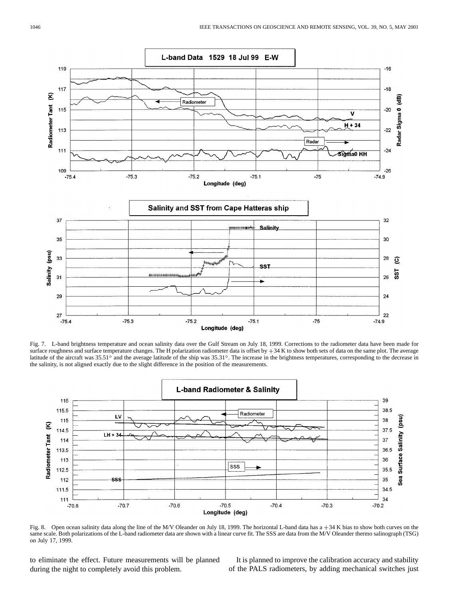

Fig. 7. L-band brightness temperature and ocean salinity data over the Gulf Stream on July 18, 1999. Corrections to the radiometer data have been made for surface roughness and surface temperature changes. The H polarization radiometer data is offset by  $+34$  K to show both sets of data on the same plot. The average latitude of the aircraft was  $35.51^\circ$  and the average latitude of the ship was  $35.31^\circ$ . The increase in the brightness temperatures, corresponding to the decrease in the salinity, is not aligned exactly due to the slight difference in the position of the measurements.



Fig. 8. Open ocean salinity data along the line of the M/V Oleander on July 18, 1999. The horizontal L-band data has a  $+34$  K bias to show both curves on the same scale. Both polarizations of the L-band radiometer data are shown with a linear curve fit. The SSS are data from the M/V Oleander thermo salinograph (TSG) on July 17, 1999.

to eliminate the effect. Future measurements will be planned during the night to completely avoid this problem.

It is planned to improve the calibration accuracy and stability of the PALS radiometers, by adding mechanical switches just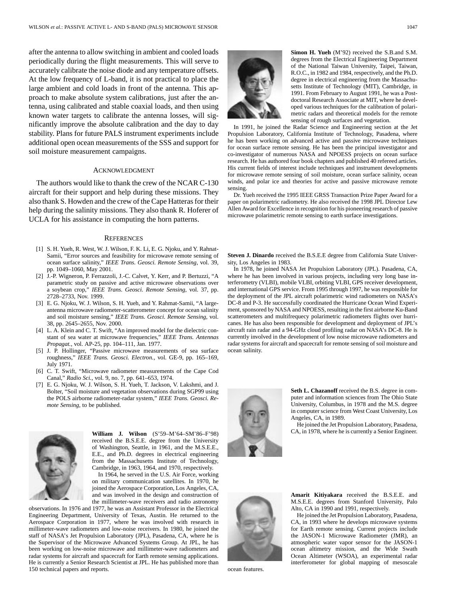after the antenna to allow switching in ambient and cooled loads periodically during the flight measurements. This will serve to accurately calibrate the noise diode and any temperature offsets. At the low frequency of L-band, it is not practical to place the large ambient and cold loads in front of the antenna. This approach to make absolute system calibrations, just after the antenna, using calibrated and stable coaxial loads, and then using known water targets to calibrate the antenna losses, will significantly improve the absolute calibration and the day to day stability. Plans for future PALS instrument experiments include additional open ocean measurements of the SSS and support for soil moisture measurement campaigns.

## ACKNOWLEDGMENT

The authors would like to thank the crew of the NCAR C-130 aircraft for their support and help during these missions. They also thank S. Howden and the crew of the Cape Hatteras for their help during the salinity missions. They also thank R. Hoferer of UCLA for his assistance in computing the horn patterns.

## **REFERENCES**

- [1] S. H. Yueh, R. West, W. J. Wilson, F. K. Li, E. G. Njoku, and Y. Rahnat-Samii, "Error sources and feasibility for microwave remote sensing of ocean surface salinity," *IEEE Trans. Geosci. Remote Sensing*, vol. 39, pp. 1049–1060, May 2001.
- [2] J.-P. Wigneron, P. Ferrazzoli, J.-C. Calvet, Y. Kerr, and P. Bertuzzi, "A parametric study on passive and active microwave observations over a soybean crop," *IEEE Trans. Geosci. Remote Sensing*, vol. 37, pp. 2728–2733, Nov. 1999.
- [3] E. G. Njoku, W. J. Wilson, S. H. Yueh, and Y. Rahmat-Samii, "A largeantenna microwave radiometer-scatterometer concept for ocean salinity and soil moisture sensing," *IEEE Trans. Geosci. Remote Sensing*, vol. 38, pp. 2645–2655, Nov. 2000.
- [4] L. A. Klein and C. T. Swift, "An improved model for the dielectric constant of sea water at microwave frequencies," *IEEE Trans. Antennas Propagat.*, vol. AP-25, pp. 104–111, Jan. 1977.
- [5] J. P. Hollinger, "Passive microwave measurements of sea surface roughness," *IEEE Trans. Geosci. Electron.*, vol. GE-9, pp. 165–169, July 1971.
- [6] C. T. Swift, "Microwave radiometer measurements of the Cape Cod Canal," *Radio Sci.*, vol. 9, no. 7, pp. 641–653, 1974.
- [7] E. G. Njoku, W. J. Wilson, S. H. Yueh, T. Jackson, V. Lakshmi, and J. Bolter, "Soil moisture and vegetation observations during SGP99 using the POLS airborne radiometer-radar system," *IEEE Trans. Geosci. Remote Sensing*, to be published.



**William J. Wilson** (S'59–M'64–SM'86–F'98) received the B.S.E.E. degree from the University of Washington, Seattle, in 1961, and the M.S.E.E., E.E., and Ph.D. degrees in electrical engineering from the Massachusetts Institute of Technology, Cambridge, in 1963, 1964, and 1970, respectively.

In 1964, he served in the U.S. Air Force, working on military communication satellites. In 1970, he joined the Aerospace Corporation, Los Angeles, CA, and was involved in the design and construction of the millimeter-wave receivers and radio astronomy

observations. In 1976 and 1977, he was an Assistant Professor in the Electrical Engineering Department, University of Texas, Austin. He returned to the Aerospace Corporation in 1977, where he was involved with research in millimeter-wave radiometers and low-noise receivers. In 1980, he joined the staff of NASA's Jet Propulsion Laboratory (JPL), Pasadena, CA, where he is the Supervisor of the Microwave Advanced Systems Group. At JPL, he has been working on low-noise microwave and millimeter-wave radiometers and radar systems for aircraft and spacecraft for Earth remote sensing applications. He is currently a Senior Research Scientist at JPL. He has published more than 150 technical papers and reports.



**Simon H. Yueh** (M'92) received the S.B.and S.M. degrees from the Electrical Engineering Department of the National Taiwan University, Taipei, Taiwan, R.O.C., in 1982 and 1984, respectively, and the Ph.D. degree in electrical engineering from the Massachusetts Institute of Technology (MIT), Cambridge, in 1991. From February to August 1991, he was a Postdoctoral Research Associate at MIT, where he developed various techniques for the calibration of polarimetric radars and theoretical models for the remote sensing of rough surfaces and vegetation.

In 1991, he joined the Radar Science and Engineering section at the Jet Propulsion Laboratory, California Institute of Technology, Pasadena, where he has been working on advanced active and passive microwave techniques for ocean surface remote sensing. He has been the principal investigator and co-investigator of numerous NASA and NPOESS projects on ocean surface research. He has authored four book chapters and published 40 refereed articles. His current fields of interest include techniques and instrument developments for microwave remote sensing of soil moisture, ocean surface salinity, ocean winds, and polar ice and theories for active and passive microwave remote sensing.

Dr. Yueh received the 1995 IEEE GRSS Transaction Prize Paper Award for a paper on polarimetric radiometry. He also received the 1998 JPL Director Lew Allen Award for Excellence in recognition for his pioneering research of passive microwave polarimetric remote sensing to earth surface investigations.

**Steven J. Dinardo** received the B.S.E.E degree from California State University, Los Angeles in 1983.

In 1978, he joined NASA Jet Propulsion Laboratory (JPL). Pasadena, CA, where he has been involved in various projects, including very long base interferometry (VLBI), mobile VLBI, orbiting VLBI, GPS receiver development, and international GPS service. From 1995 through 1997, he was responsible for the deployment of the JPL aircraft polarimetric wind radiometers on NASA's DC-8 and P-3. He successfully coordinated the Hurricane Ocean Wind Experiment, sponsored by NASA and NPOESS, resulting in the first airborne Ku-Band scatterometers and multifrequecy polarimetric radiometers flights over hurricanes. He has also been responsible for development and deployment of JPL's aircraft rain radar and a 94-GHz cloud profiling radar on NASA's DC-8. He is currently involved in the development of low noise microwave radiometers and radar systems for aircraft and spacecraft for remote sensing of soil moisture and ocean salinity.



**Seth L. Chazanoff** received the B.S. degree in computer and information sciences from The Ohio State University, Columbus, in 1978 and the M.S. degree in computer science from West Coast University, Los Angeles, CA, in 1989.

He joined the Jet Propulsion Laboratory, Pasadena, CA, in 1978, where he is currently a Senior Engineer.



ocean features.

**Amarit Kitiyakara** received the B.S.E.E. and M.S.E.E. degrees from Stanford University, Palo Alto, CA in 1990 and 1991, respectively.

He joined the Jet Propulsion Laboratory, Pasadena, CA, in 1993 where he develops microwave systems for Earth remote sensing. Current projects include the JASON-1 Microwave Radiometer (JMR), an atmospheric water vapor sensor for the JASON-1 ocean altimetry mission, and the Wide Swath Ocean Altimeter (WSOA), an experimental radar interferometer for global mapping of mesoscale